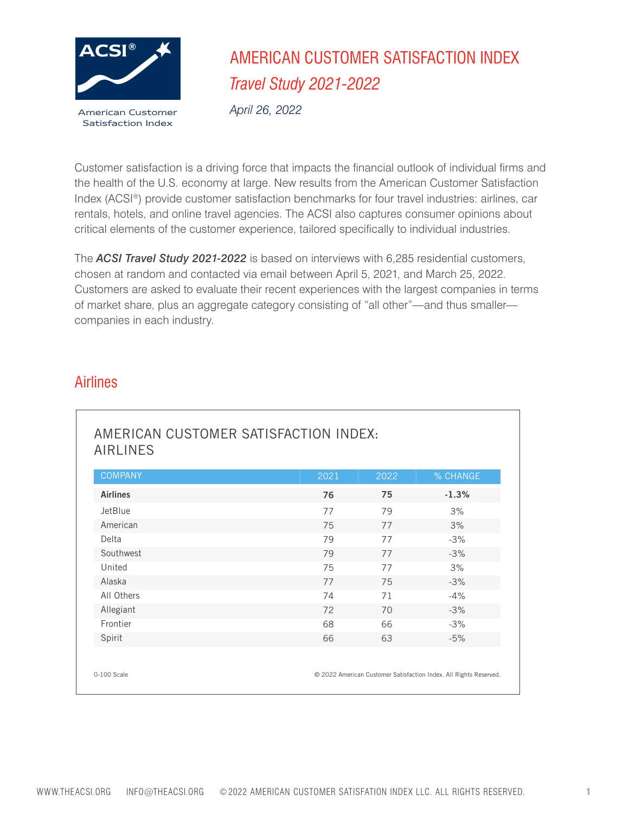

# AMERICAN CUSTOMER SATISFACTION INDEX *Travel Study 2021-2022*

*April 26, 2022*

Customer satisfaction is a driving force that impacts the financial outlook of individual firms and the health of the U.S. economy at large. New results from the American Customer Satisfaction Index (ACSI®) provide customer satisfaction benchmarks for four travel industries: airlines, car rentals, hotels, and online travel agencies. The ACSI also captures consumer opinions about critical elements of the customer experience, tailored specifically to individual industries.

The *ACSI Travel Study 2021-2022* is based on interviews with 6,285 residential customers, chosen at random and contacted via email between April 5, 2021, and March 25, 2022. Customers are asked to evaluate their recent experiences with the largest companies in terms of market share, plus an aggregate category consisting of "all other"—and thus smaller companies in each industry.

#### Airlines

| <b>COMPANY</b>  | 2021 | 2022 | % CHANGE |
|-----------------|------|------|----------|
| <b>Airlines</b> | 76   | 75   | $-1.3%$  |
| JetBlue         | 77   | 79   | 3%       |
| American        | 75   | 77   | 3%       |
| Delta           | 79   | 77   | $-3%$    |
| Southwest       | 79   | 77   | $-3%$    |
| United          | 75   | 77   | 3%       |
| Alaska          | 77   | 75   | $-3%$    |
| All Others      | 74   | 71   | $-4%$    |
| Allegiant       | 72   | 70   | $-3%$    |
| Frontier        | 68   | 66   | $-3%$    |
| Spirit          | 66   | 63   | $-5%$    |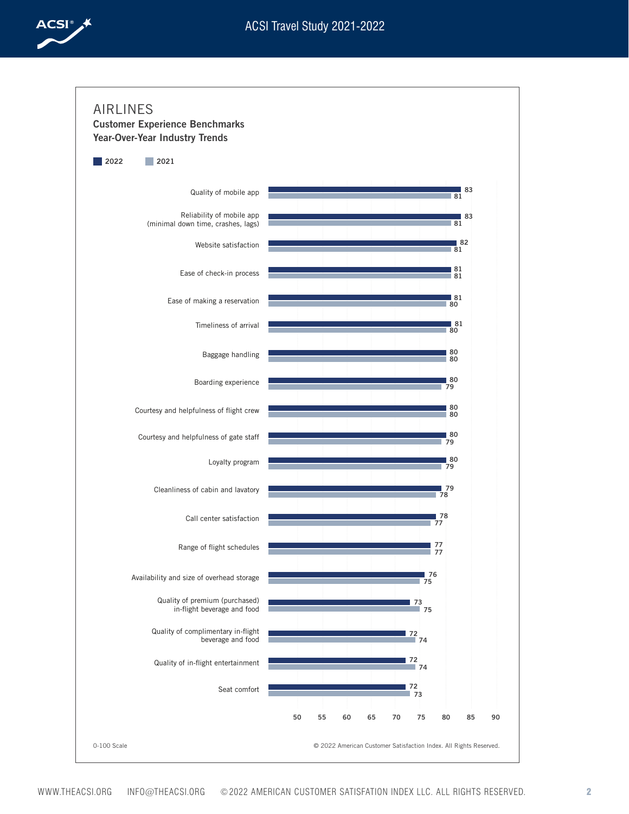

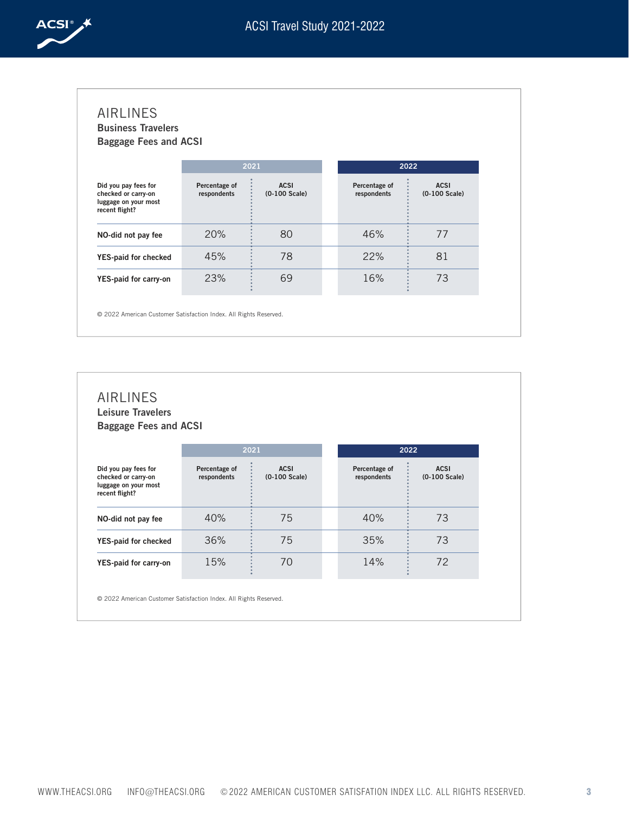

| <b>Business Travelers</b><br><b>Baggage Fees and ACSI</b>                             |                              |                              |                              |                                |
|---------------------------------------------------------------------------------------|------------------------------|------------------------------|------------------------------|--------------------------------|
|                                                                                       |                              | 2021                         |                              | 2022                           |
| Did you pay fees for<br>checked or carry-on<br>luggage on your most<br>recent flight? | Percentage of<br>respondents | <b>ACSI</b><br>(0-100 Scale) | Percentage of<br>respondents | <b>ACSI</b><br>$(0-100$ Scale) |
| NO-did not pay fee                                                                    | 20%                          | 80                           | 46%                          | 77                             |
| YES-paid for checked                                                                  | 45%                          | 78                           | 22%                          | 81                             |
| YES-paid for carry-on                                                                 | 23%                          | 69                           | 16%                          | 73                             |

| <b>AIRLINES</b><br><b>Leisure Travelers</b><br><b>Baggage Fees and ACSI</b>           |                              |                                |                              |                                |
|---------------------------------------------------------------------------------------|------------------------------|--------------------------------|------------------------------|--------------------------------|
|                                                                                       |                              | 2021                           |                              | 2022                           |
| Did you pay fees for<br>checked or carry-on<br>luggage on your most<br>recent flight? | Percentage of<br>respondents | <b>ACSI</b><br>$(0-100$ Scale) | Percentage of<br>respondents | <b>ACSI</b><br>$(0-100$ Scale) |
| NO-did not pay fee                                                                    | 40%                          | 75                             | 40%                          | 73                             |
| YES-paid for checked                                                                  | 36%                          | 75                             | 35%                          | 73                             |
| YES-paid for carry-on                                                                 | 15%                          | 70                             | 14%                          | 72                             |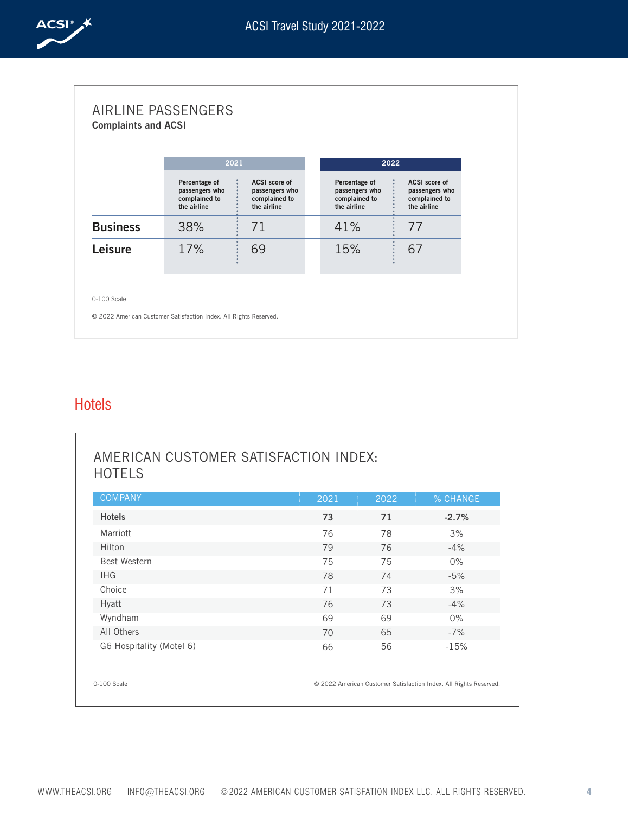

|                 | 2021                                                            |                                                                 |                                                                 | 2022 |                                                                 |
|-----------------|-----------------------------------------------------------------|-----------------------------------------------------------------|-----------------------------------------------------------------|------|-----------------------------------------------------------------|
|                 | Percentage of<br>passengers who<br>complained to<br>the airline | ACSI score of<br>passengers who<br>complained to<br>the airline | Percentage of<br>passengers who<br>complained to<br>the airline |      | ACSI score of<br>passengers who<br>complained to<br>the airline |
| <b>Business</b> | 38%                                                             | 71                                                              | 41%                                                             |      | 77                                                              |
| <b>Leisure</b>  | 17%                                                             | 69                                                              | 15%                                                             |      | 67                                                              |

### Hotels

| <b>COMPANY</b>           | 2021 | 2022 | % CHANGE |
|--------------------------|------|------|----------|
| <b>Hotels</b>            | 73   | 71   | $-2.7%$  |
| Marriott                 | 76   | 78   | 3%       |
| Hilton                   | 79   | 76   | $-4%$    |
| <b>Best Western</b>      | 75   | 75   | $0\%$    |
| <b>IHG</b>               | 78   | 74   | $-5%$    |
| Choice                   | 71   | 73   | 3%       |
| <b>Hyatt</b>             | 76   | 73   | $-4%$    |
| Wyndham                  | 69   | 69   | $0\%$    |
| All Others               | 70   | 65   | $-7%$    |
| G6 Hospitality (Motel 6) | 66   | 56   | $-15%$   |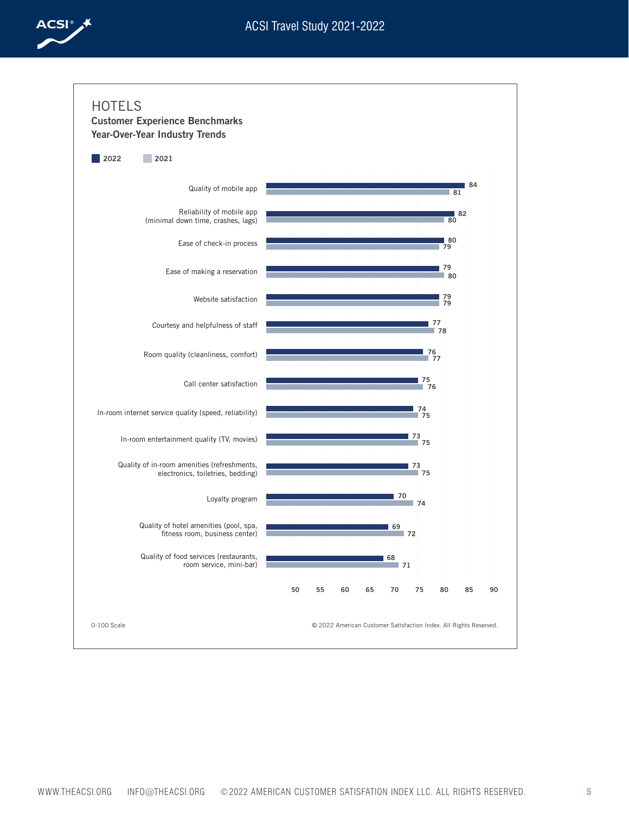

**84**





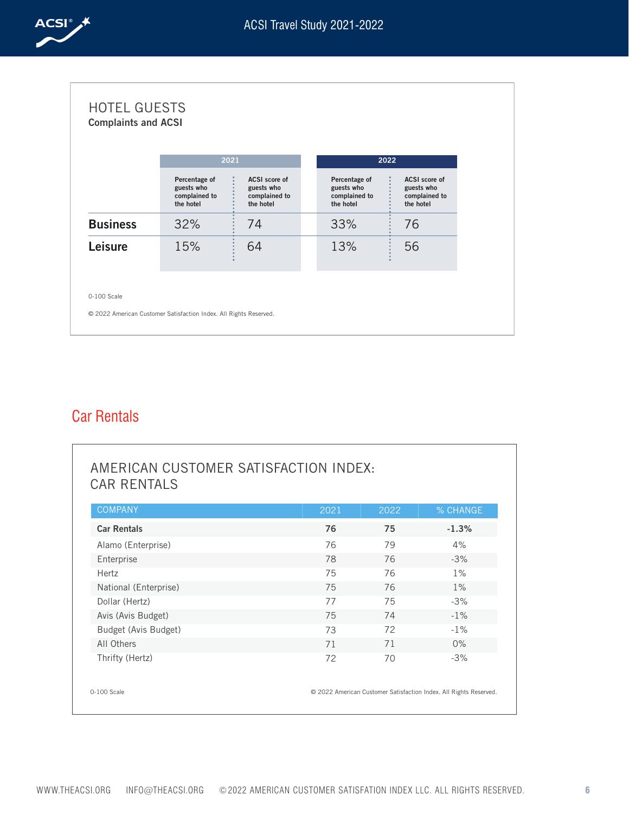

|                 | 2021                                                      |                                                           |                         | 2022                           |                                                           |
|-----------------|-----------------------------------------------------------|-----------------------------------------------------------|-------------------------|--------------------------------|-----------------------------------------------------------|
|                 | Percentage of<br>guests who<br>complained to<br>the hotel | ACSI score of<br>guests who<br>complained to<br>the hotel | guests who<br>the hotel | Percentage of<br>complained to | ACSI score of<br>guests who<br>complained to<br>the hotel |
| <b>Business</b> | 32%                                                       | 74                                                        | 33%                     |                                | 76                                                        |
| <b>Leisure</b>  | 15%                                                       | 64                                                        | 13%                     |                                | 56                                                        |

### Car Rentals

| <b>COMPANY</b>        | 2021 | 2022 | % CHANGE |
|-----------------------|------|------|----------|
| <b>Car Rentals</b>    | 76   | 75   | $-1.3%$  |
| Alamo (Enterprise)    | 76   | 79   | 4%       |
| Enterprise            | 78   | 76   | $-3%$    |
| Hertz                 | 75   | 76   | 1%       |
| National (Enterprise) | 75   | 76   | $1\%$    |
| Dollar (Hertz)        | 77   | 75   | $-3%$    |
| Avis (Avis Budget)    | 75   | 74   | $-1%$    |
| Budget (Avis Budget)  | 73   | 72   | $-1%$    |
| All Others            | 71   | 71   | $0\%$    |
| Thrifty (Hertz)       | 72   | 70   | $-3%$    |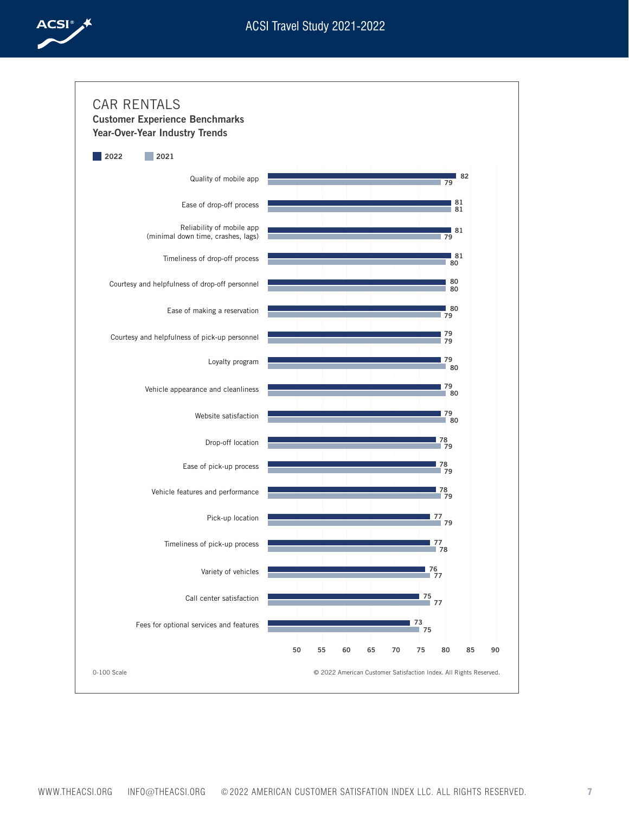

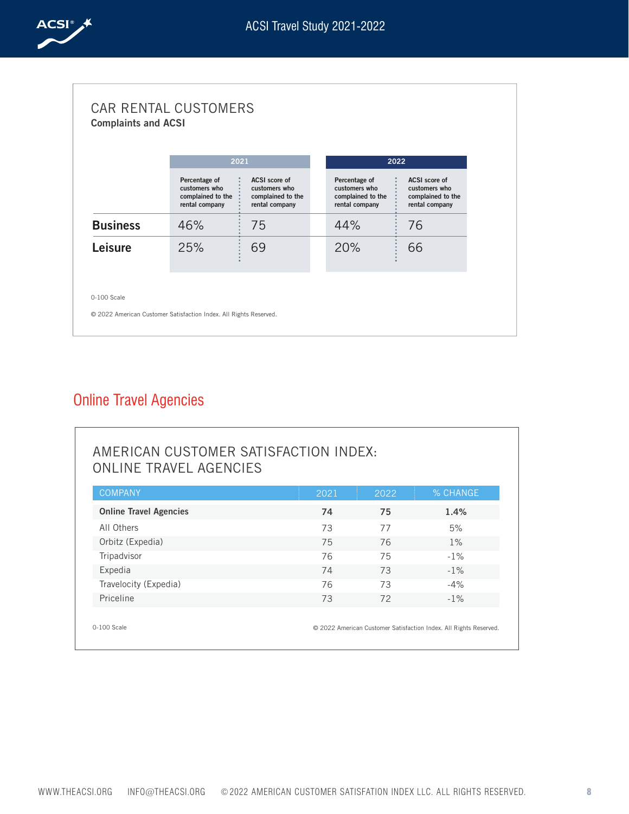

|                 | 2021                                                                  |                                                                       |                                                                       | 2022                                                                  |
|-----------------|-----------------------------------------------------------------------|-----------------------------------------------------------------------|-----------------------------------------------------------------------|-----------------------------------------------------------------------|
|                 | Percentage of<br>customers who<br>complained to the<br>rental company | ACSI score of<br>customers who<br>complained to the<br>rental company | Percentage of<br>customers who<br>complained to the<br>rental company | ACSI score of<br>customers who<br>complained to the<br>rental company |
| <b>Business</b> | 46%                                                                   | 75                                                                    | 44%                                                                   | 76                                                                    |
| Leisure         | 25%                                                                   | 69                                                                    | 20%                                                                   | 66                                                                    |

## Online Travel Agencies

| <b>ONLINE TRAVEL AGENCIES</b> |      |      |          |
|-------------------------------|------|------|----------|
| <b>COMPANY</b>                | 2021 | 2022 | % CHANGE |
| <b>Online Travel Agencies</b> | 74   | 75   | 1.4%     |
| All Others                    | 73   | 77   | 5%       |
| Orbitz (Expedia)              | 75   | 76   | 1%       |
| Tripadvisor                   | 76   | 75   | $-1\%$   |
| Expedia                       | 74   | 73   | $-1\%$   |
| Travelocity (Expedia)         | 76   | 73   | $-4\%$   |
| Priceline                     | 73   | 72   | $-1\%$   |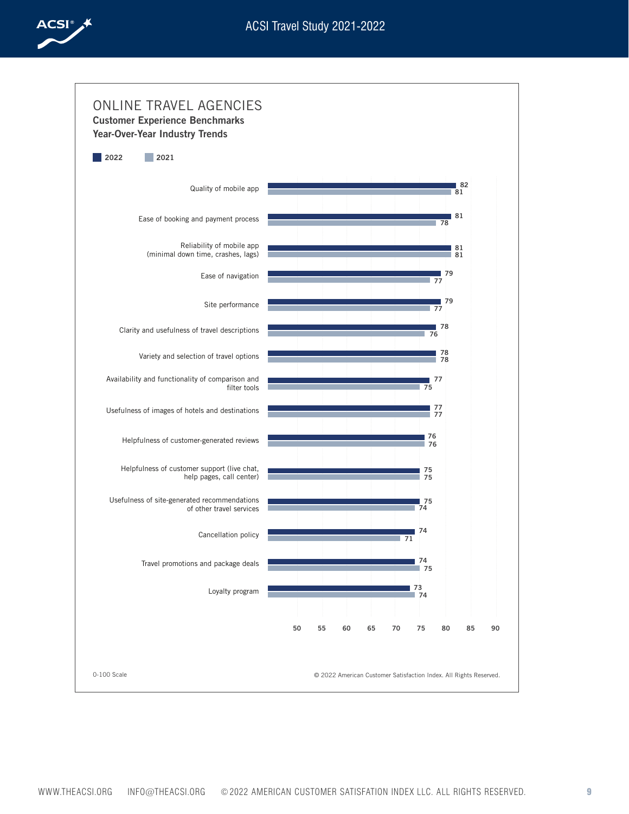

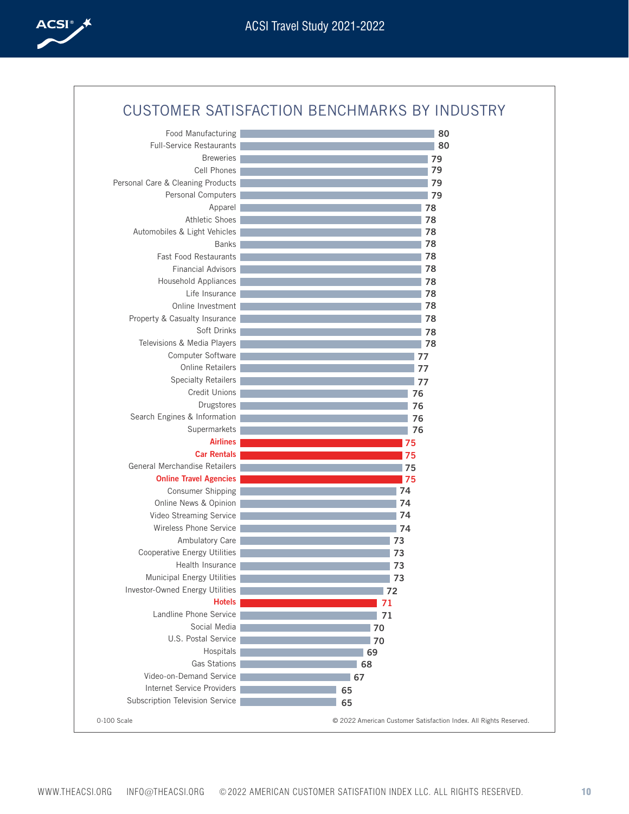

| Food Manufacturing                  | 80 |
|-------------------------------------|----|
| <b>Full-Service Restaurants</b>     | 80 |
| <b>Breweries</b>                    | 79 |
| Cell Phones                         | 79 |
| Personal Care & Cleaning Products   | 79 |
| Personal Computers                  | 79 |
| Apparel                             | 78 |
| <b>Athletic Shoes</b>               | 78 |
| Automobiles & Light Vehicles        | 78 |
| <b>Banks</b>                        | 78 |
| <b>Fast Food Restaurants</b>        | 78 |
| <b>Financial Advisors</b>           | 78 |
| Household Appliances                | 78 |
| Life Insurance                      | 78 |
| Online Investment                   | 78 |
| Property & Casualty Insurance       | 78 |
| Soft Drinks                         | 78 |
| Televisions & Media Players         | 78 |
| Computer Software                   | 77 |
| Online Retailers                    | 77 |
| <b>Specialty Retailers</b>          | 77 |
| Credit Unions                       | 76 |
| Drugstores                          | 76 |
| Search Engines & Information        | 76 |
| Supermarkets                        | 76 |
| <b>Airlines</b>                     | 75 |
| <b>Car Rentals</b>                  | 75 |
| General Merchandise Retailers       | 75 |
| <b>Online Travel Agencies</b>       | 75 |
| Consumer Shipping                   | 74 |
| Online News & Opinion               | 74 |
| Video Streaming Service             | 74 |
| Wireless Phone Service              | 74 |
| Ambulatory Care                     | 73 |
| <b>Cooperative Energy Utilities</b> | 73 |
| Health Insurance                    | 73 |
| Municipal Energy Utilities          | 73 |
| Investor-Owned Energy Utilities     | 72 |
| <b>Hotels</b>                       | 71 |
| Landline Phone Service              | 71 |
| Social Media                        | 70 |
| U.S. Postal Service                 | 70 |
| Hospitals                           | 69 |
| Gas Stations                        | 68 |
| Video-on-Demand Service             | 67 |
| <b>Internet Service Providers</b>   | 65 |
| Subscription Television Service     | 65 |